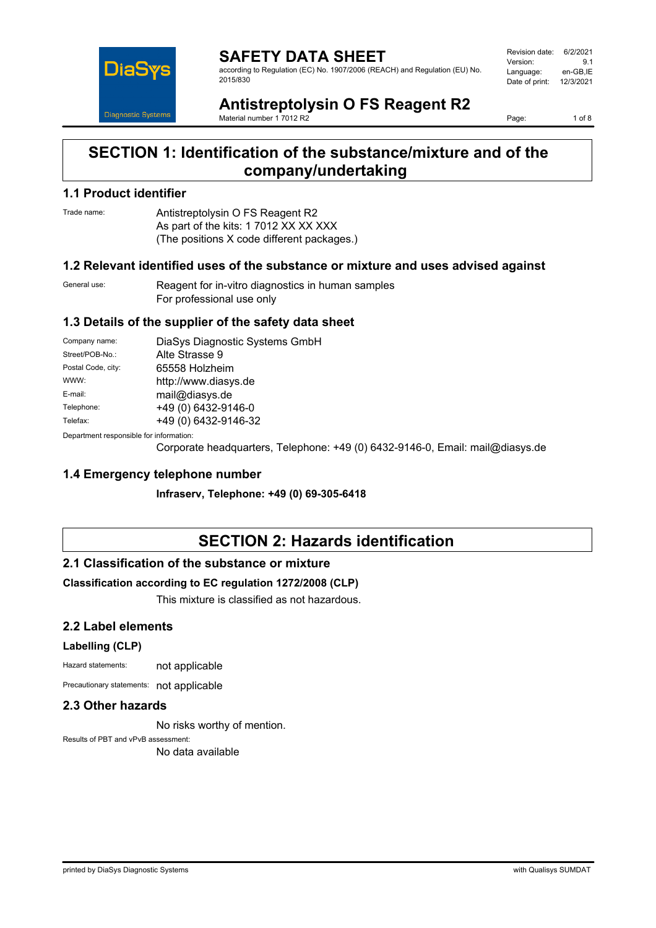

**SAFETY DATA SHEET** according to Regulation (EC) No. 1907/2006 (REACH) and Regulation (EU) No. 2015/830

| Revision date: | 6/2/2021  |
|----------------|-----------|
| Version:       | 91        |
| Language:      | en-GB.IE  |
| Date of print: | 12/3/2021 |
|                |           |

**Antistreptolysin O FS Reagent R2** Material number 1 7012 R2

Page: 1 of 8

## **SECTION 1: Identification of the substance/mixture and of the company/undertaking**

### **1.1 Product identifier**

Trade name: Antistreptolysin O FS Reagent R2 As part of the kits: 1 7012 XX XX XXX (The positions X code different packages.)

### **1.2 Relevant identified uses of the substance or mixture and uses advised against**

General use: Reagent for in-vitro diagnostics in human samples For professional use only

### **1.3 Details of the supplier of the safety data sheet**

| Company name:                              | DiaSys Diagnostic Systems GmbH |  |
|--------------------------------------------|--------------------------------|--|
| Street/POB-No.:                            | Alte Strasse 9                 |  |
| Postal Code, city:                         | 65558 Holzheim                 |  |
| WWW:                                       | http://www.diasys.de           |  |
| E-mail:                                    | mail@diasys.de                 |  |
| Telephone:                                 | +49 (0) 6432-9146-0            |  |
| Telefax:                                   | +49 (0) 6432-9146-32           |  |
| Departus ant reapeanaible for information. |                                |  |

Department responsible for information:

Corporate headquarters, Telephone: +49 (0) 6432-9146-0, Email: mail@diasys.de

### **1.4 Emergency telephone number**

**Infraserv, Telephone: +49 (0) 69-305-6418**

# **SECTION 2: Hazards identification**

### **2.1 Classification of the substance or mixture**

### **Classification according to EC regulation 1272/2008 (CLP)**

This mixture is classified as not hazardous.

### **2.2 Label elements**

#### **Labelling (CLP)**

Hazard statements: not applicable

Precautionary statements: not applicable

### **2.3 Other hazards**

No risks worthy of mention.

Results of PBT and vPvB assessment: No data available

printed by DiaSys Diagnostic Systems with Qualisys SUMDAT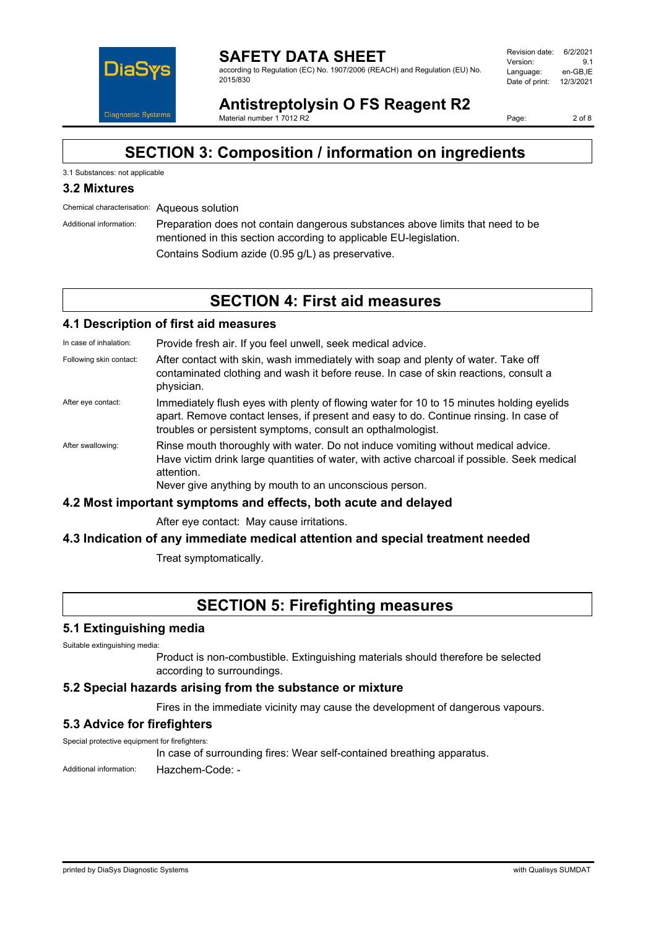

#### **SAFETY DATA SHEET** according to Regulation (EC) No. 1907/2006 (REACH) and Regulation (EU) No. 2015/830

| Revision date: | 6/2/2021  |
|----------------|-----------|
| Version:       | 91        |
| Language:      | en-GB.IE  |
| Date of print: | 12/3/2021 |
|                |           |

**Antistreptolysin O FS Reagent R2** Material number 1 7012 R2

Page: 2 of 8

# **SECTION 3: Composition / information on ingredients**

### 3.1 Substances: not applicable

### **3.2 Mixtures**

Chemical characterisation: Aqueous solution

Additional information: Preparation does not contain dangerous substances above limits that need to be mentioned in this section according to applicable EU-legislation. Contains Sodium azide (0.95 g/L) as preservative.

**SECTION 4: First aid measures**

### **4.1 Description of first aid measures**

In case of inhalation: Provide fresh air. If you feel unwell, seek medical advice.

- Following skin contact: After contact with skin, wash immediately with soap and plenty of water. Take off contaminated clothing and wash it before reuse. In case of skin reactions, consult a physician.
- After eye contact: Immediately flush eyes with plenty of flowing water for 10 to 15 minutes holding eyelids apart. Remove contact lenses, if present and easy to do. Continue rinsing. In case of troubles or persistent symptoms, consult an opthalmologist.
- After swallowing: Rinse mouth thoroughly with water. Do not induce vomiting without medical advice. Have victim drink large quantities of water, with active charcoal if possible. Seek medical attention.

Never give anything by mouth to an unconscious person.

#### **4.2 Most important symptoms and effects, both acute and delayed**

After eye contact: May cause irritations.

### **4.3 Indication of any immediate medical attention and special treatment needed**

Treat symptomatically.

## **SECTION 5: Firefighting measures**

#### **5.1 Extinguishing media**

Suitable extinguishing media:

Product is non-combustible. Extinguishing materials should therefore be selected according to surroundings.

#### **5.2 Special hazards arising from the substance or mixture**

Fires in the immediate vicinity may cause the development of dangerous vapours.

### **5.3 Advice for firefighters**

Special protective equipment for firefighters:

In case of surrounding fires: Wear self-contained breathing apparatus.

Additional information: Hazchem-Code: -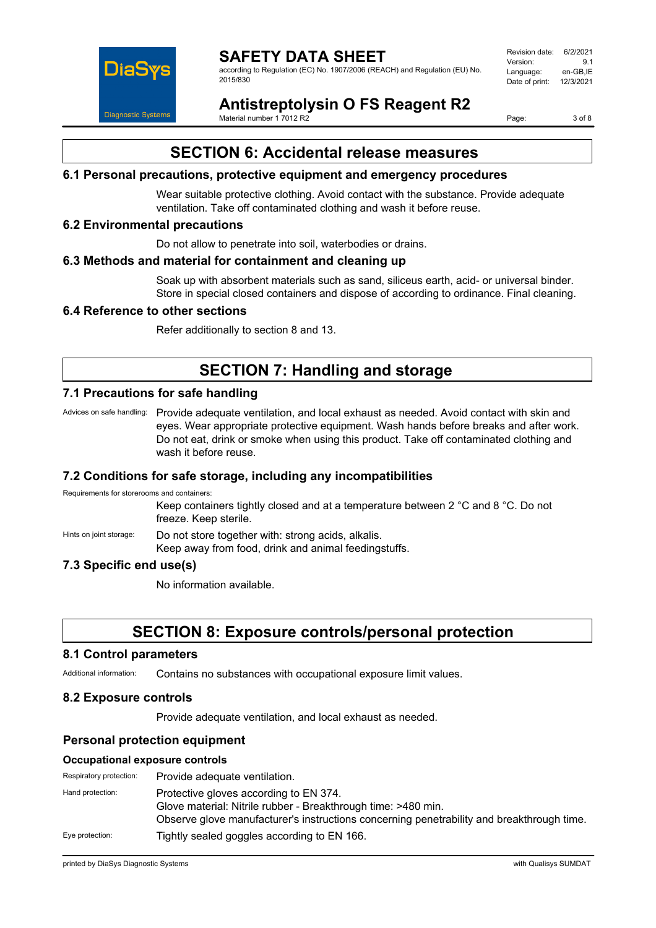

according to Regulation (EC) No. 1907/2006 (REACH) and Regulation (EU) No. 2015/830

Revision date: 6/2/2021 Version: 9.1<br>Language: en-GB IE Language: Date of print: 12/3/2021

# **Antistreptolysin O FS Reagent R2**

Material number 1 7012 R2

Page: 3 of 8

## **SECTION 6: Accidental release measures**

### **6.1 Personal precautions, protective equipment and emergency procedures**

Wear suitable protective clothing. Avoid contact with the substance. Provide adequate ventilation. Take off contaminated clothing and wash it before reuse.

### **6.2 Environmental precautions**

Do not allow to penetrate into soil, waterbodies or drains.

### **6.3 Methods and material for containment and cleaning up**

Soak up with absorbent materials such as sand, siliceus earth, acid- or universal binder. Store in special closed containers and dispose of according to ordinance. Final cleaning.

### **6.4 Reference to other sections**

Refer additionally to section 8 and 13.

# **SECTION 7: Handling and storage**

### **7.1 Precautions for safe handling**

Advices on safe handling: Provide adequate ventilation, and local exhaust as needed. Avoid contact with skin and eyes. Wear appropriate protective equipment. Wash hands before breaks and after work. Do not eat, drink or smoke when using this product. Take off contaminated clothing and wash it before reuse.

### **7.2 Conditions for safe storage, including any incompatibilities**

Requirements for storerooms and containers:

Keep containers tightly closed and at a temperature between 2 °C and 8 °C. Do not freeze. Keep sterile.

Hints on joint storage: Do not store together with: strong acids, alkalis. Keep away from food, drink and animal feedingstuffs.

### **7.3 Specific end use(s)**

No information available.

## **SECTION 8: Exposure controls/personal protection**

#### **8.1 Control parameters**

Additional information: Contains no substances with occupational exposure limit values.

### **8.2 Exposure controls**

Provide adequate ventilation, and local exhaust as needed.

### **Personal protection equipment**

#### **Occupational exposure controls**

| Respiratory protection: | Provide adequate ventilation.                                                                                                                                                                        |
|-------------------------|------------------------------------------------------------------------------------------------------------------------------------------------------------------------------------------------------|
| Hand protection:        | Protective gloves according to EN 374.<br>Glove material: Nitrile rubber - Breakthrough time: >480 min.<br>Observe glove manufacturer's instructions concerning penetrability and breakthrough time. |
| Eye protection:         | Tightly sealed goggles according to EN 166.                                                                                                                                                          |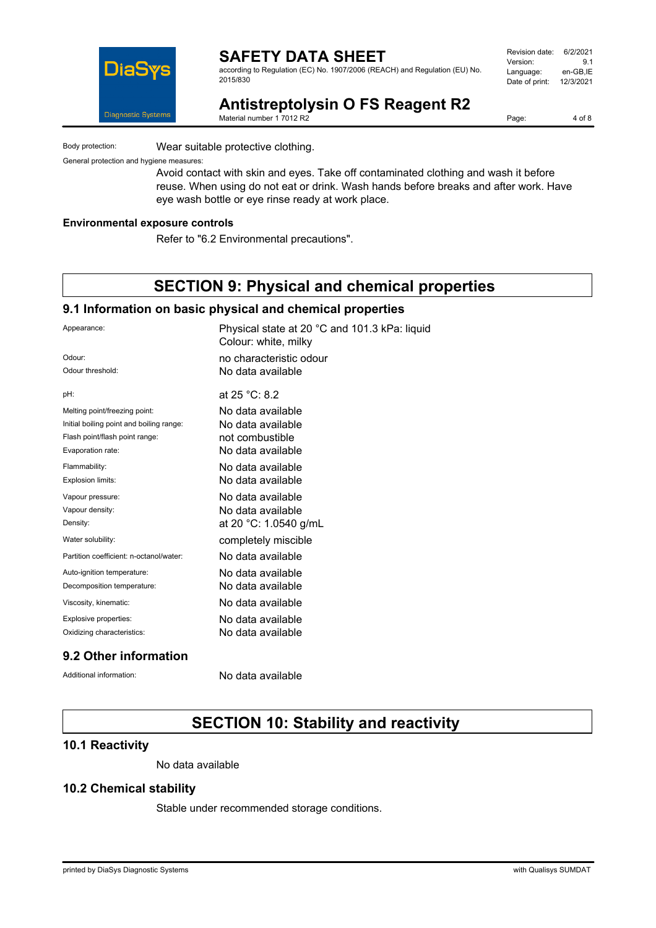

according to Regulation (EC) No. 1907/2006 (REACH) and Regulation (EU) No. 2015/830

| Revision date: | 6/2/2021  |
|----------------|-----------|
| Version:       | 91        |
| Language:      | en-GB.IE  |
| Date of print: | 12/3/2021 |
|                |           |

**Antistreptolysin O FS Reagent R2** Material number 1 7012 R2

Page: 4 of 8

Body protection: Wear suitable protective clothing.

General protection and hygiene measures:

Avoid contact with skin and eyes. Take off contaminated clothing and wash it before reuse. When using do not eat or drink. Wash hands before breaks and after work. Have eye wash bottle or eye rinse ready at work place.

#### **Environmental exposure controls**

Refer to "6.2 Environmental precautions".

## **SECTION 9: Physical and chemical properties**

### **9.1 Information on basic physical and chemical properties**

| Appearance:                              | Physical state at 20 °C and 101.3 kPa: liquid<br>Colour: white, milky |
|------------------------------------------|-----------------------------------------------------------------------|
| Odour:                                   | no characteristic odour                                               |
| Odour threshold:                         | No data available                                                     |
| pH:                                      | at 25 °C: 8.2                                                         |
| Melting point/freezing point:            | No data available                                                     |
| Initial boiling point and boiling range: | No data available                                                     |
| Flash point/flash point range:           | not combustible                                                       |
| Evaporation rate:                        | No data available                                                     |
| Flammability:                            | No data available                                                     |
| Explosion limits:                        | No data available                                                     |
| Vapour pressure:                         | No data available                                                     |
| Vapour density:                          | No data available                                                     |
| Density:                                 | at 20 °C: 1.0540 g/mL                                                 |
| Water solubility:                        | completely miscible                                                   |
| Partition coefficient: n-octanol/water:  | No data available                                                     |
| Auto-ignition temperature:               | No data available                                                     |
| Decomposition temperature:               | No data available                                                     |
| Viscosity, kinematic:                    | No data available                                                     |
| Explosive properties:                    | No data available                                                     |
| Oxidizing characteristics:               | No data available                                                     |
|                                          |                                                                       |

### **9.2 Other information**

Additional information: No data available

# **SECTION 10: Stability and reactivity**

### **10.1 Reactivity**

No data available

### **10.2 Chemical stability**

Stable under recommended storage conditions.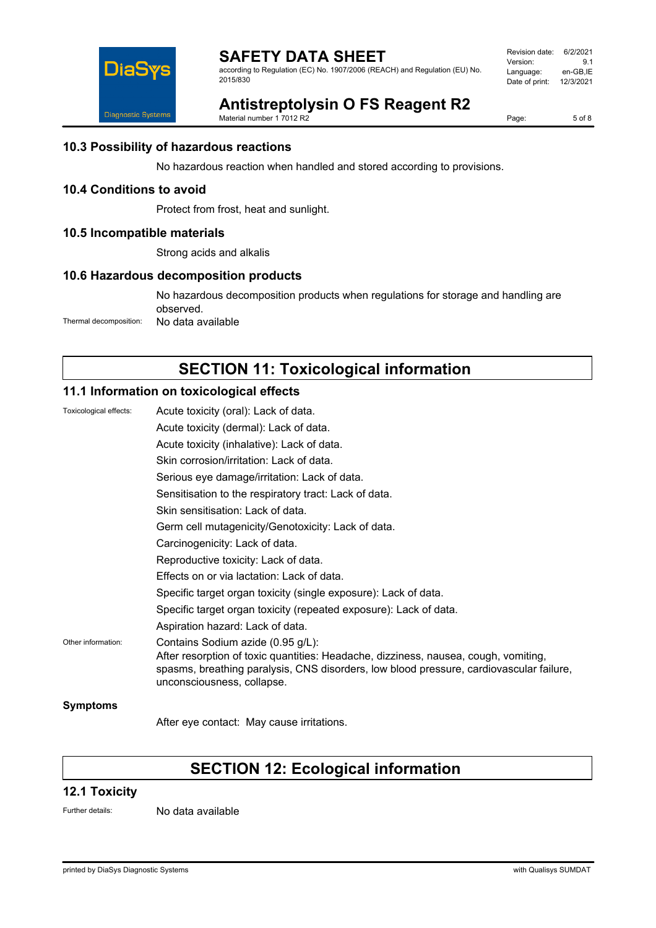

according to Regulation (EC) No. 1907/2006 (REACH) and Regulation (EU) No. 2015/830

Revision date: 6/2/2021 Version: 9.1<br>Language: en-GB,IE Language: Date of print: 12/3/2021

# **Antistreptolysin O FS Reagent R2**

Material number 1 7012 R2

Page: 5 of 8

### **10.3 Possibility of hazardous reactions**

No hazardous reaction when handled and stored according to provisions.

## **10.4 Conditions to avoid**

Protect from frost, heat and sunlight.

### **10.5 Incompatible materials**

Strong acids and alkalis

### **10.6 Hazardous decomposition products**

No hazardous decomposition products when regulations for storage and handling are observed. Thermal decomposition: No data available

# **SECTION 11: Toxicological information**

## **11.1 Information on toxicological effects**

| Toxicological effects: | Acute toxicity (oral): Lack of data.                                                                                                                                                                                                              |
|------------------------|---------------------------------------------------------------------------------------------------------------------------------------------------------------------------------------------------------------------------------------------------|
|                        | Acute toxicity (dermal): Lack of data.                                                                                                                                                                                                            |
|                        | Acute toxicity (inhalative): Lack of data.                                                                                                                                                                                                        |
|                        | Skin corrosion/irritation: Lack of data.                                                                                                                                                                                                          |
|                        | Serious eye damage/irritation: Lack of data.                                                                                                                                                                                                      |
|                        | Sensitisation to the respiratory tract: Lack of data.                                                                                                                                                                                             |
|                        | Skin sensitisation: Lack of data.                                                                                                                                                                                                                 |
|                        | Germ cell mutagenicity/Genotoxicity: Lack of data.                                                                                                                                                                                                |
|                        | Carcinogenicity: Lack of data.                                                                                                                                                                                                                    |
|                        | Reproductive toxicity: Lack of data.                                                                                                                                                                                                              |
|                        | Effects on or via lactation: Lack of data.                                                                                                                                                                                                        |
|                        | Specific target organ toxicity (single exposure): Lack of data.                                                                                                                                                                                   |
|                        | Specific target organ toxicity (repeated exposure): Lack of data.                                                                                                                                                                                 |
|                        | Aspiration hazard: Lack of data.                                                                                                                                                                                                                  |
| Other information:     | Contains Sodium azide (0.95 g/L):<br>After resorption of toxic quantities: Headache, dizziness, nausea, cough, vomiting,<br>spasms, breathing paralysis, CNS disorders, low blood pressure, cardiovascular failure,<br>unconsciousness, collapse. |
| Symptoms               |                                                                                                                                                                                                                                                   |

After eye contact: May cause irritations.

# **SECTION 12: Ecological information**

### **12.1 Toxicity**

Further details: No data available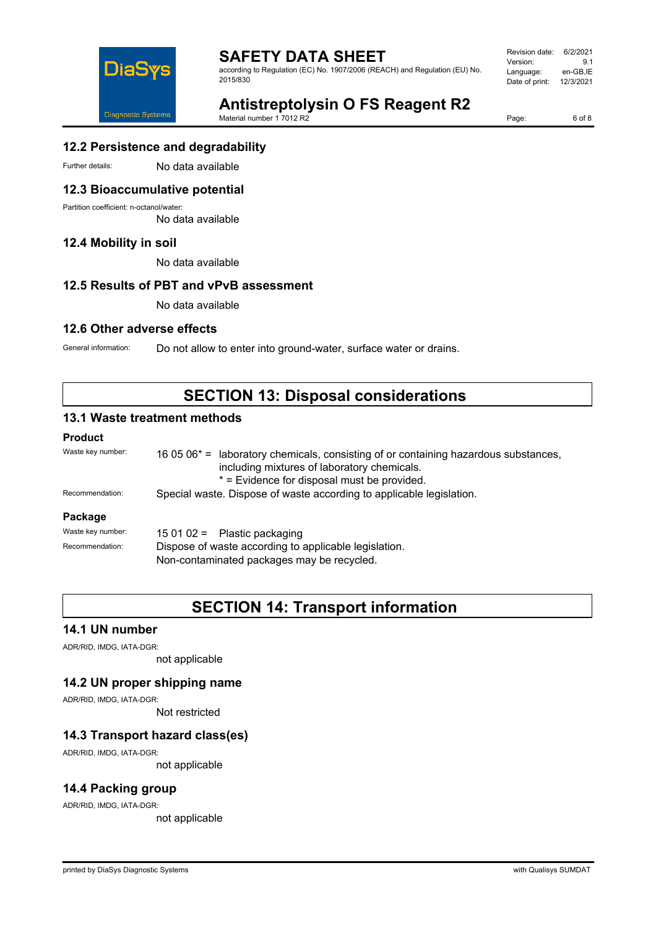

**SAFETY DATA SHEET** according to Regulation (EC) No. 1907/2006 (REACH) and Regulation (EU) No.

Revision date: 6/2/2021 Version: 9.1<br>Language: en-GB,IE Language: Date of print: 12/3/2021



**Antistreptolysin O FS Reagent R2** Material number 1 7012 R2

Page: 6 of 8

### **12.2 Persistence and degradability**

Further details: No data available

### **12.3 Bioaccumulative potential**

Partition coefficient: n-octanol/water:

No data available

### **12.4 Mobility in soil**

No data available

### **12.5 Results of PBT and vPvB assessment**

No data available

### **12.6 Other adverse effects**

General information: Do not allow to enter into ground-water, surface water or drains.

## **SECTION 13: Disposal considerations**

### **13.1 Waste treatment methods**

#### **Product**

| Waste key number: | 16 05 $06^*$ = laboratory chemicals, consisting of or containing hazardous substances,<br>including mixtures of laboratory chemicals.<br>* = Evidence for disposal must be provided. |  |
|-------------------|--------------------------------------------------------------------------------------------------------------------------------------------------------------------------------------|--|
| Recommendation:   | Special waste. Dispose of waste according to applicable legislation.                                                                                                                 |  |
| Package           |                                                                                                                                                                                      |  |
| Waste key number: | 15 01 02 = Plastic packaging                                                                                                                                                         |  |
| Recommendation:   | Dispose of waste according to applicable legislation.<br>Non-contaminated packages may be recycled.                                                                                  |  |

**SECTION 14: Transport information**

### **14.1 UN number**

ADR/RID, IMDG, IATA-DGR:

not applicable

### **14.2 UN proper shipping name**

ADR/RID, IMDG, IATA-DGR:

Not restricted

### **14.3 Transport hazard class(es)**

ADR/RID, IMDG, IATA-DGR:

not applicable

### **14.4 Packing group**

ADR/RID, IMDG, IATA-DGR:

not applicable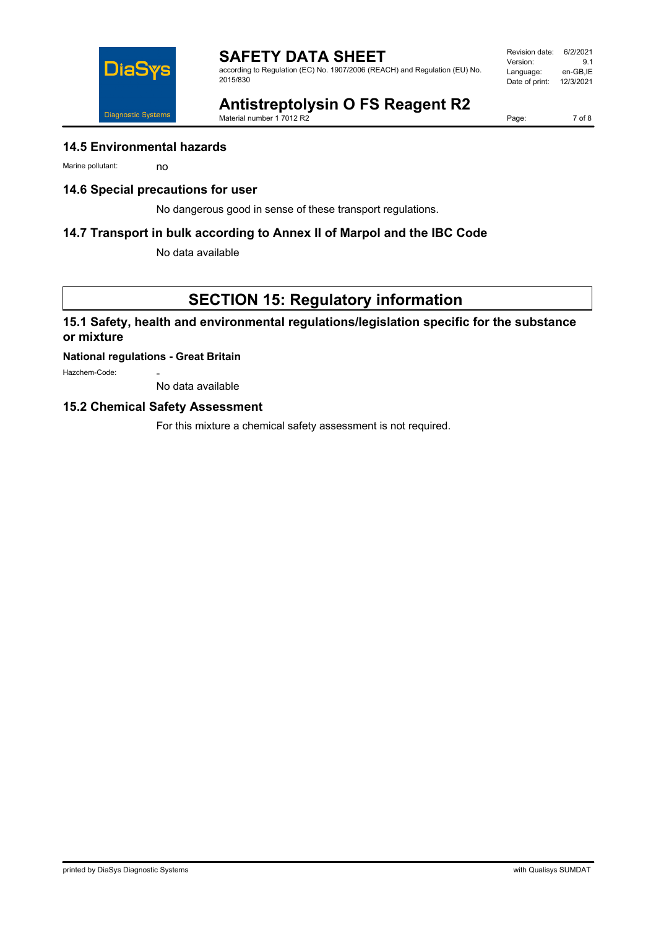according to Regulation (EC) No. 1907/2006 (REACH) and Regulation (EU) No. 2015/830

Revision date: 6/2/2021 Version: 9.1<br>Language: en-GB,IE Language: Date of print: 12/3/2021



**Antistreptolysin O FS Reagent R2**

Material number 1 7012 R2

Page: 7 of 8

### **14.5 Environmental hazards**

Marine pollutant: no

### **14.6 Special precautions for user**

No dangerous good in sense of these transport regulations.

### **14.7 Transport in bulk according to Annex II of Marpol and the IBC Code**

No data available

# **SECTION 15: Regulatory information**

## **15.1 Safety, health and environmental regulations/legislation specific for the substance or mixture**

### **National regulations - Great Britain**

Hazchem-Code:

No data available

### **15.2 Chemical Safety Assessment**

For this mixture a chemical safety assessment is not required.